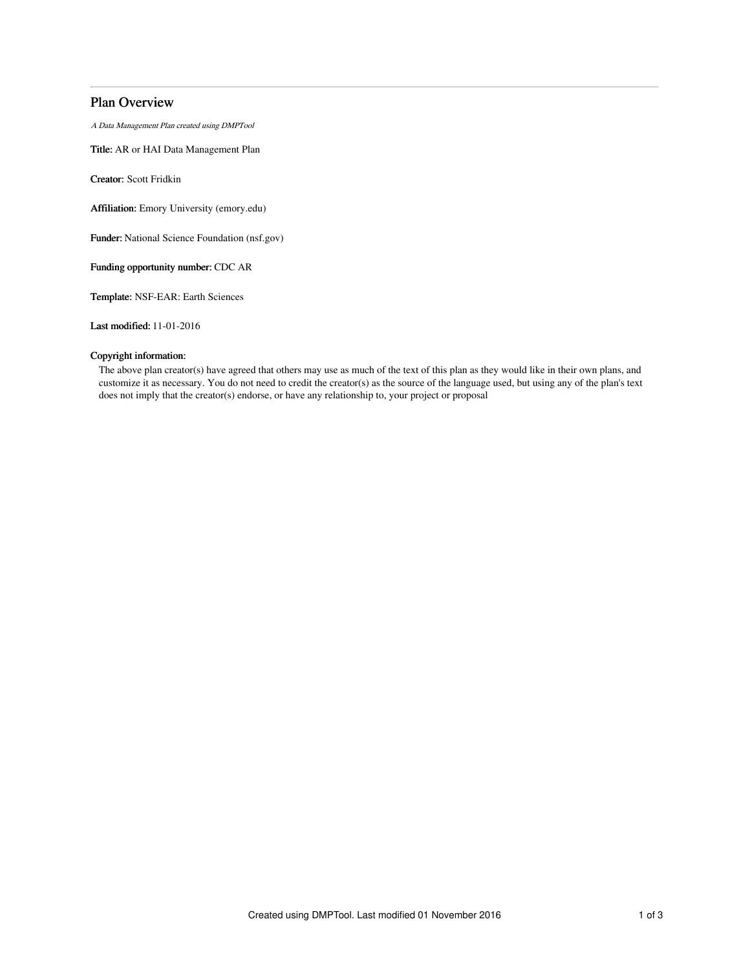# Plan Overview

A Data Management Plan created using DMPTool

Title: AR or HAI Data Management Plan

Creator: Scott Fridkin

Affiliation: Emory University (emory.edu)

Funder: National Science Foundation (nsf.gov)

Funding opportunity number: CDC AR

Template: NSF-EAR: Earth Sciences

Last modified: 11-01-2016

# Copyright information:

The above plan creator(s) have agreed that others may use as much of the text of this plan as they would like in their own plans, and customize it as necessary. You do not need to credit the creator(s) as the source of the language used, but using any of the plan's text does not imply that the creator(s) endorse, or have any relationship to, your project or proposal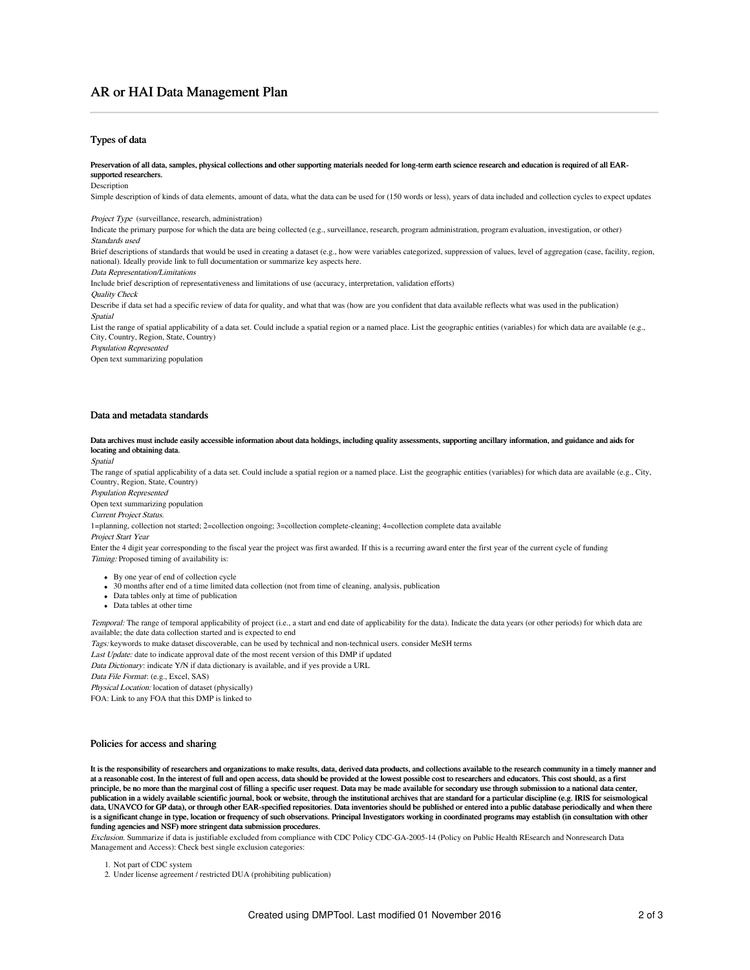# AR or HAI Data Management Plan

## Types of data

Preservation of all data, samples, physical collections and other supporting materials needed for long-term earth science research and education is required of all EARsupported researchers.

#### Description

Simple description of kinds of data elements, amount of data, what the data can be used for (150 words or less), years of data included and collection cycles to expect updates

Project Type (surveillance, research, administration)

Indicate the primary purpose for which the data are being collected (e.g., surveillance, research, program administration, program evaluation, investigation, or other) Standards used

Brief descriptions of standards that would be used in creating a dataset (e.g., how were variables categorized, suppression of values, level of aggregation (case, facility, region, national). Ideally provide link to full documentation or summarize key aspects here.

### Data Representation/Limitations

Include brief description of representativeness and limitations of use (accuracy, interpretation, validation efforts)

Quality Check

Describe if data set had a specific review of data for quality, and what that was (how are you confident that data available reflects what was used in the publication) Spatial

List the range of spatial applicability of a data set. Could include a spatial region or a named place. List the geographic entities (variables) for which data are available (e.g., City, Country, Region, State, Country)

Population Represented

Open text summarizing population

### Data and metadata standards

Data archives must include easily accessible information about data holdings, including quality assessments, supporting ancillary information, and guidance and aids for locating and obtaining data.

Spatial

The range of spatial applicability of a data set. Could include a spatial region or a named place. List the geographic entities (variables) for which data are available (e.g., City, Country, Region, State, Country)

Population Represented

Open text summarizing population

Current Project Status.

1=planning, collection not started; 2=collection ongoing; 3=collection complete-cleaning; 4=collection complete data available

Project Start Year

Enter the 4 digit year corresponding to the fiscal year the project was first awarded. If this is a recurring award enter the first year of the current cycle of funding Timing: Proposed timing of availability is:

- By one year of end of collection cycle
- 30 months after end of a time limited data collection (not from time of cleaning, analysis, publication
- Data tables only at time of publication
- Data tables at other time

Temporal: The range of temporal applicability of project (i.e., a start and end date of applicability for the data). Indicate the data years (or other periods) for which data are available; the date data collection started and is expected to end

Tags: keywords to make dataset discoverable, can be used by technical and non-technical users. consider MeSH terms

Last Update: date to indicate approval date of the most recent version of this DMP if updated

Data Dictionary: indicate Y/N if data dictionary is available, and if yes provide a URL

Data File Format: (e.g., Excel, SAS)

Physical Location: location of dataset (physically)

FOA: Link to any FOA that this DMP is linked to

### Policies for access and sharing

It is the responsibility of researchers and organizations to make results, data, derived data products, and collections available to the research community in a timely manner and at a reasonable cost. In the interest of full and open access, data should be provided at the lowest possible cost to researchers and educators. This cost should, as a first principle, be no more than the marginal cost of filling a specific user request. Data may be made available for secondary use through submission to a national data center publication in a widely available scientific journal, book or website, through the institutional archives that are standard for a particular discipline (e.g. IRIS for seismological data, UNAVCO for GP data), or through other EAR-specified repositories. Data inventories should be published or entered into a public database periodically and when there is a significant change in type, location or frequency of such observations. Principal Investigators working in coordinated programs may establish (in consultation with other funding agencies and NSF) more stringent data submission procedures.

Exclusion. Summarize if data is justifiable excluded from compliance with CDC Policy CDC-GA-2005-14 (Policy on Public Health REsearch and Nonresearch Data Management and Access): Check best single exclusion categories:

<sup>1.</sup> Not part of CDC system

<sup>2.</sup> Under license agreement / restricted DUA (prohibiting publication)